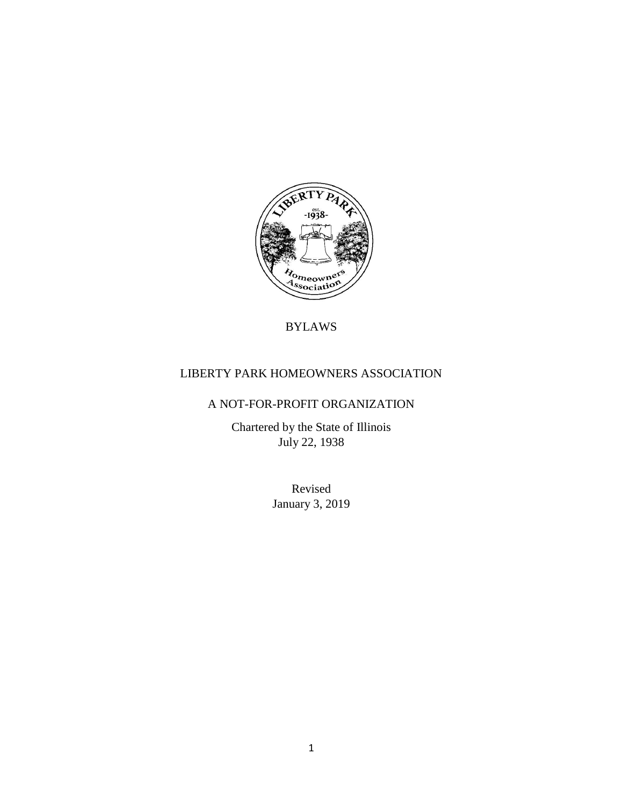

# BYLAWS

# LIBERTY PARK HOMEOWNERS ASSOCIATION

# A NOT-FOR-PROFIT ORGANIZATION

Chartered by the State of Illinois July 22, 1938

> Revised January 3, 2019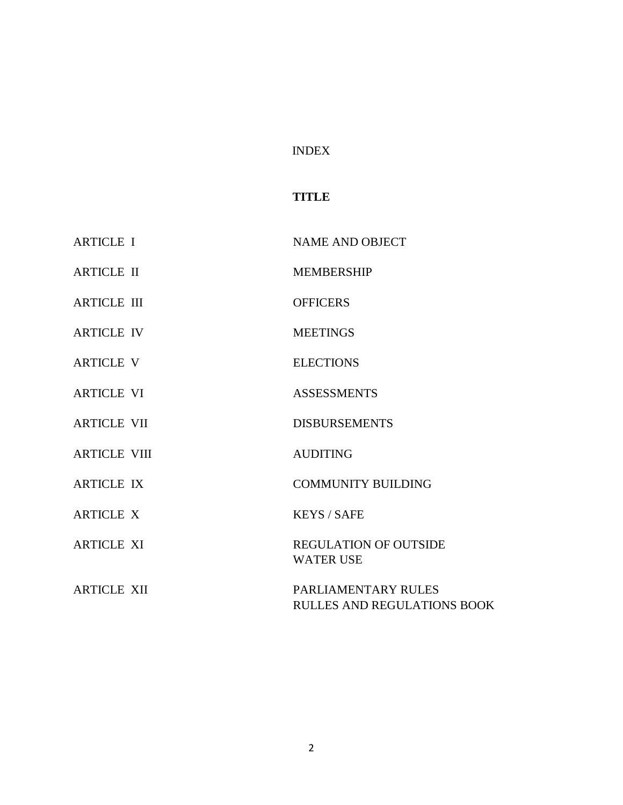# INDEX

# **TITLE**

| <b>ARTICLE I</b>    | <b>NAME AND OBJECT</b>                             |
|---------------------|----------------------------------------------------|
| <b>ARTICLE II</b>   | <b>MEMBERSHIP</b>                                  |
| <b>ARTICLE III</b>  | <b>OFFICERS</b>                                    |
| <b>ARTICLE IV</b>   | <b>MEETINGS</b>                                    |
| <b>ARTICLE V</b>    | <b>ELECTIONS</b>                                   |
| <b>ARTICLE VI</b>   | <b>ASSESSMENTS</b>                                 |
| <b>ARTICLE VII</b>  | <b>DISBURSEMENTS</b>                               |
| <b>ARTICLE VIII</b> | <b>AUDITING</b>                                    |
| <b>ARTICLE IX</b>   | <b>COMMUNITY BUILDING</b>                          |
| <b>ARTICLE X</b>    | <b>KEYS / SAFE</b>                                 |
| <b>ARTICLE XI</b>   | <b>REGULATION OF OUTSIDE</b><br><b>WATER USE</b>   |
| <b>ARTICLE XII</b>  | PARLIAMENTARY RULES<br>RULLES AND REGULATIONS BOOK |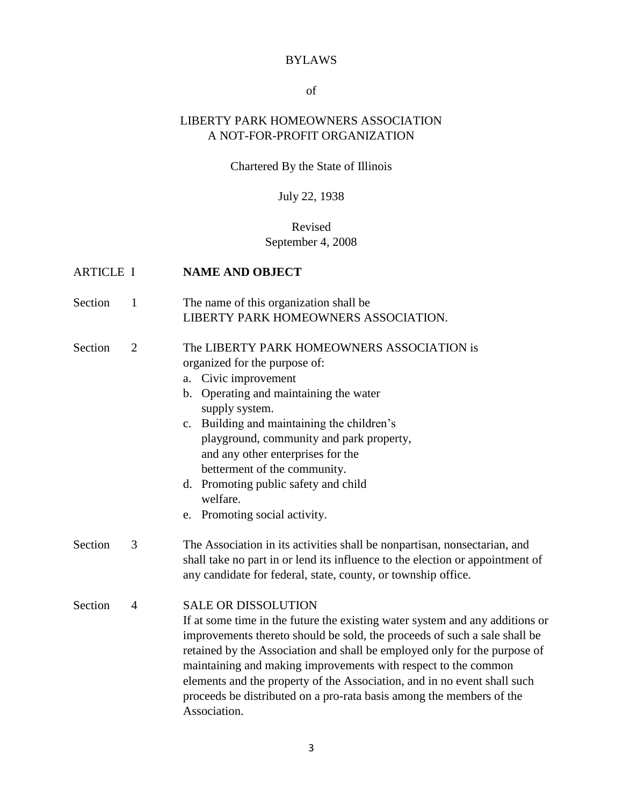## BYLAWS

## of

# LIBERTY PARK HOMEOWNERS ASSOCIATION A NOT-FOR-PROFIT ORGANIZATION

# Chartered By the State of Illinois

# July 22, 1938

# Revised September 4, 2008

| <b>ARTICLE I</b> |                | <b>NAME AND OBJECT</b>                                                                                                                                                                                                                                                                                                                                                                                                                                                                                     |
|------------------|----------------|------------------------------------------------------------------------------------------------------------------------------------------------------------------------------------------------------------------------------------------------------------------------------------------------------------------------------------------------------------------------------------------------------------------------------------------------------------------------------------------------------------|
| Section          | $\mathbf{1}$   | The name of this organization shall be<br>LIBERTY PARK HOMEOWNERS ASSOCIATION.                                                                                                                                                                                                                                                                                                                                                                                                                             |
| Section          | $\overline{2}$ | The LIBERTY PARK HOMEOWNERS ASSOCIATION is<br>organized for the purpose of:<br>a. Civic improvement<br>b. Operating and maintaining the water<br>supply system.<br>c. Building and maintaining the children's<br>playground, community and park property,<br>and any other enterprises for the<br>betterment of the community.<br>d. Promoting public safety and child<br>welfare.<br>e. Promoting social activity.                                                                                        |
| Section          | 3              | The Association in its activities shall be nonpartisan, nonsectarian, and<br>shall take no part in or lend its influence to the election or appointment of<br>any candidate for federal, state, county, or township office.                                                                                                                                                                                                                                                                                |
| Section          | $\overline{4}$ | <b>SALE OR DISSOLUTION</b><br>If at some time in the future the existing water system and any additions or<br>improvements thereto should be sold, the proceeds of such a sale shall be<br>retained by the Association and shall be employed only for the purpose of<br>maintaining and making improvements with respect to the common<br>elements and the property of the Association, and in no event shall such<br>proceeds be distributed on a pro-rata basis among the members of the<br>Association. |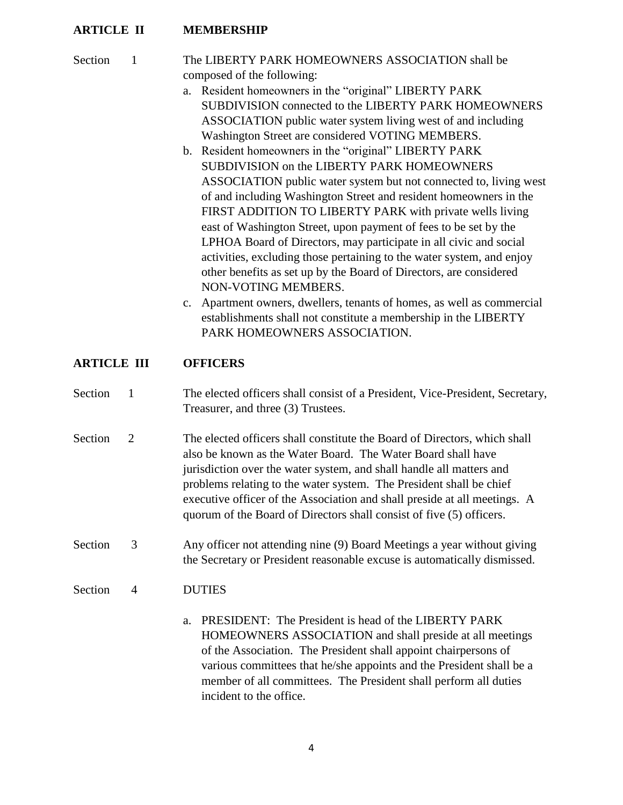## **ARTICLE II MEMBERSHIP**

## Section 1 The LIBERTY PARK HOMEOWNERS ASSOCIATION shall be composed of the following:

- a. Resident homeowners in the "original" LIBERTY PARK SUBDIVISION connected to the LIBERTY PARK HOMEOWNERS ASSOCIATION public water system living west of and including Washington Street are considered VOTING MEMBERS.
- b. Resident homeowners in the "original" LIBERTY PARK SUBDIVISION on the LIBERTY PARK HOMEOWNERS ASSOCIATION public water system but not connected to, living west of and including Washington Street and resident homeowners in the FIRST ADDITION TO LIBERTY PARK with private wells living east of Washington Street, upon payment of fees to be set by the LPHOA Board of Directors, may participate in all civic and social activities, excluding those pertaining to the water system, and enjoy other benefits as set up by the Board of Directors, are considered NON-VOTING MEMBERS.
- c. Apartment owners, dwellers, tenants of homes, as well as commercial establishments shall not constitute a membership in the LIBERTY PARK HOMEOWNERS ASSOCIATION.

## **ARTICLE III OFFICERS**

- Section 1 The elected officers shall consist of a President, Vice-President, Secretary, Treasurer, and three (3) Trustees.
- Section 2 The elected officers shall constitute the Board of Directors, which shall also be known as the Water Board. The Water Board shall have jurisdiction over the water system, and shall handle all matters and problems relating to the water system. The President shall be chief executive officer of the Association and shall preside at all meetings. A quorum of the Board of Directors shall consist of five (5) officers.
- Section 3 Any officer not attending nine (9) Board Meetings a year without giving the Secretary or President reasonable excuse is automatically dismissed.

#### Section 4 DUTIES

a. PRESIDENT: The President is head of the LIBERTY PARK HOMEOWNERS ASSOCIATION and shall preside at all meetings of the Association. The President shall appoint chairpersons of various committees that he/she appoints and the President shall be a member of all committees. The President shall perform all duties incident to the office.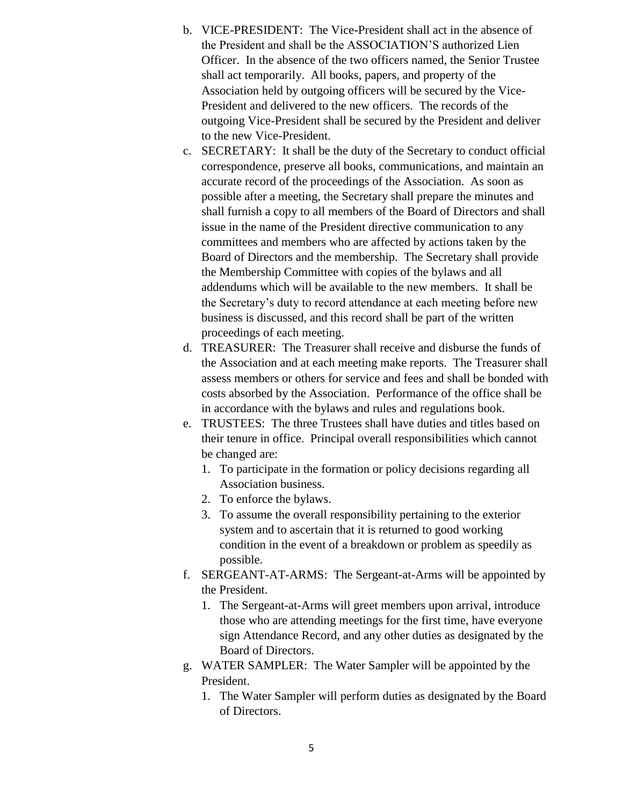- b. VICE-PRESIDENT: The Vice-President shall act in the absence of the President and shall be the ASSOCIATION'S authorized Lien Officer. In the absence of the two officers named, the Senior Trustee shall act temporarily. All books, papers, and property of the Association held by outgoing officers will be secured by the Vice-President and delivered to the new officers. The records of the outgoing Vice-President shall be secured by the President and deliver to the new Vice-President.
- c. SECRETARY: It shall be the duty of the Secretary to conduct official correspondence, preserve all books, communications, and maintain an accurate record of the proceedings of the Association. As soon as possible after a meeting, the Secretary shall prepare the minutes and shall furnish a copy to all members of the Board of Directors and shall issue in the name of the President directive communication to any committees and members who are affected by actions taken by the Board of Directors and the membership. The Secretary shall provide the Membership Committee with copies of the bylaws and all addendums which will be available to the new members. It shall be the Secretary's duty to record attendance at each meeting before new business is discussed, and this record shall be part of the written proceedings of each meeting.
- d. TREASURER: The Treasurer shall receive and disburse the funds of the Association and at each meeting make reports. The Treasurer shall assess members or others for service and fees and shall be bonded with costs absorbed by the Association. Performance of the office shall be in accordance with the bylaws and rules and regulations book.
- e. TRUSTEES: The three Trustees shall have duties and titles based on their tenure in office. Principal overall responsibilities which cannot be changed are:
	- 1. To participate in the formation or policy decisions regarding all Association business.
	- 2. To enforce the bylaws.
	- 3. To assume the overall responsibility pertaining to the exterior system and to ascertain that it is returned to good working condition in the event of a breakdown or problem as speedily as possible.
- f. SERGEANT-AT-ARMS: The Sergeant-at-Arms will be appointed by the President.
	- 1. The Sergeant-at-Arms will greet members upon arrival, introduce those who are attending meetings for the first time, have everyone sign Attendance Record, and any other duties as designated by the Board of Directors.
- g. WATER SAMPLER: The Water Sampler will be appointed by the President.
	- 1. The Water Sampler will perform duties as designated by the Board of Directors.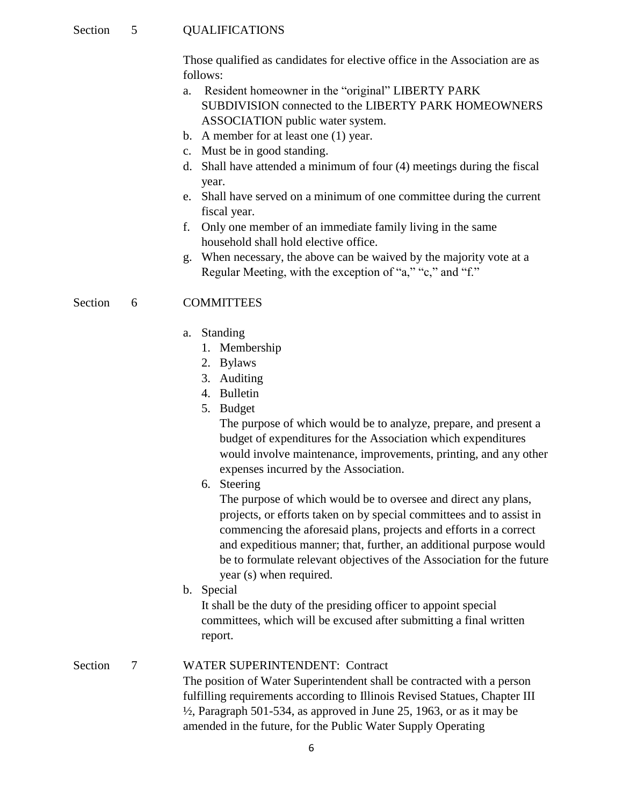#### Section 5 QUALIFICATIONS

Those qualified as candidates for elective office in the Association are as follows:

- a. Resident homeowner in the "original" LIBERTY PARK SUBDIVISION connected to the LIBERTY PARK HOMEOWNERS ASSOCIATION public water system.
- b. A member for at least one (1) year.
- c. Must be in good standing.
- d. Shall have attended a minimum of four (4) meetings during the fiscal year.
- e. Shall have served on a minimum of one committee during the current fiscal year.
- f. Only one member of an immediate family living in the same household shall hold elective office.
- g. When necessary, the above can be waived by the majority vote at a Regular Meeting, with the exception of "a," "c," and "f."

#### Section 6 COMMITTEES

- a. Standing
	- 1. Membership
	- 2. Bylaws
	- 3. Auditing
	- 4. Bulletin
	- 5. Budget

The purpose of which would be to analyze, prepare, and present a budget of expenditures for the Association which expenditures would involve maintenance, improvements, printing, and any other expenses incurred by the Association.

6. Steering

The purpose of which would be to oversee and direct any plans, projects, or efforts taken on by special committees and to assist in commencing the aforesaid plans, projects and efforts in a correct and expeditious manner; that, further, an additional purpose would be to formulate relevant objectives of the Association for the future year (s) when required.

b. Special

It shall be the duty of the presiding officer to appoint special committees, which will be excused after submitting a final written report.

#### Section 7 WATER SUPERINTENDENT: Contract

The position of Water Superintendent shall be contracted with a person fulfilling requirements according to Illinois Revised Statues, Chapter III  $\frac{1}{2}$ , Paragraph 501-534, as approved in June 25, 1963, or as it may be amended in the future, for the Public Water Supply Operating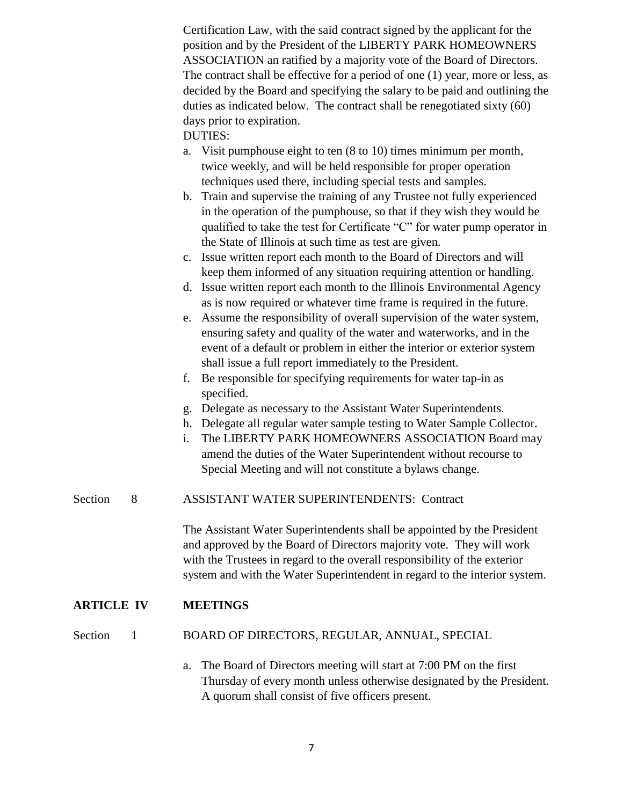Certification Law, with the said contract signed by the applicant for the position and by the President of the LIBERTY PARK HOMEOWNERS ASSOCIATION an ratified by a majority vote of the Board of Directors. The contract shall be effective for a period of one (1) year, more or less, as decided by the Board and specifying the salary to be paid and outlining the duties as indicated below. The contract shall be renegotiated sixty (60) days prior to expiration.

DUTIES:

- a. Visit pumphouse eight to ten (8 to 10) times minimum per month, twice weekly, and will be held responsible for proper operation techniques used there, including special tests and samples.
- b. Train and supervise the training of any Trustee not fully experienced in the operation of the pumphouse, so that if they wish they would be qualified to take the test for Certificate "C" for water pump operator in the State of Illinois at such time as test are given.
- c. Issue written report each month to the Board of Directors and will keep them informed of any situation requiring attention or handling.
- d. Issue written report each month to the Illinois Environmental Agency as is now required or whatever time frame is required in the future.
- e. Assume the responsibility of overall supervision of the water system, ensuring safety and quality of the water and waterworks, and in the event of a default or problem in either the interior or exterior system shall issue a full report immediately to the President.
- f. Be responsible for specifying requirements for water tap-in as specified.
- g. Delegate as necessary to the Assistant Water Superintendents.
- h. Delegate all regular water sample testing to Water Sample Collector.
- i. The LIBERTY PARK HOMEOWNERS ASSOCIATION Board may amend the duties of the Water Superintendent without recourse to Special Meeting and will not constitute a bylaws change.
- Section 8 ASSISTANT WATER SUPERINTENDENTS: Contract

The Assistant Water Superintendents shall be appointed by the President and approved by the Board of Directors majority vote. They will work with the Trustees in regard to the overall responsibility of the exterior system and with the Water Superintendent in regard to the interior system.

## **ARTICLE IV MEETINGS**

#### Section 1 BOARD OF DIRECTORS, REGULAR, ANNUAL, SPECIAL

a. The Board of Directors meeting will start at 7:00 PM on the first Thursday of every month unless otherwise designated by the President. A quorum shall consist of five officers present.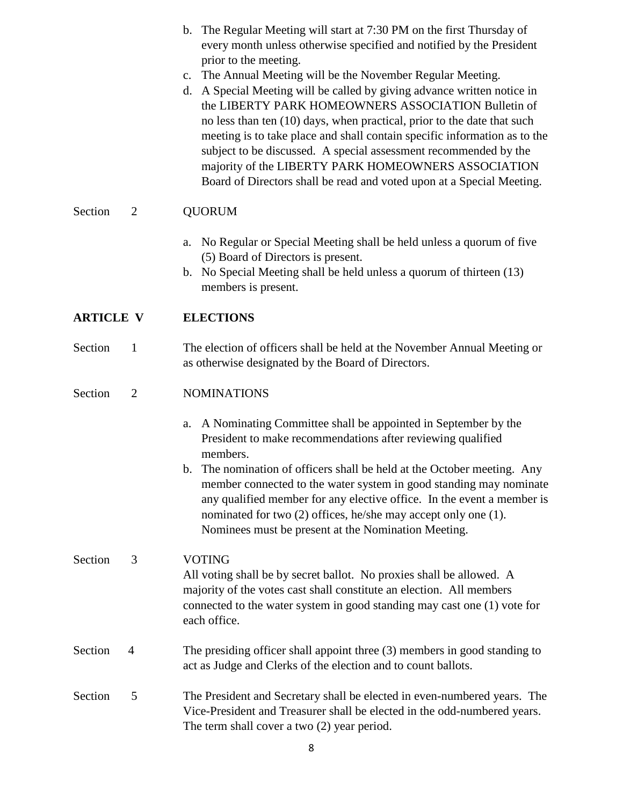|                  |                | b. The Regular Meeting will start at 7:30 PM on the first Thursday of<br>every month unless otherwise specified and notified by the President<br>prior to the meeting.<br>c. The Annual Meeting will be the November Regular Meeting.<br>d. A Special Meeting will be called by giving advance written notice in<br>the LIBERTY PARK HOMEOWNERS ASSOCIATION Bulletin of<br>no less than ten (10) days, when practical, prior to the date that such<br>meeting is to take place and shall contain specific information as to the<br>subject to be discussed. A special assessment recommended by the<br>majority of the LIBERTY PARK HOMEOWNERS ASSOCIATION<br>Board of Directors shall be read and voted upon at a Special Meeting. |
|------------------|----------------|-------------------------------------------------------------------------------------------------------------------------------------------------------------------------------------------------------------------------------------------------------------------------------------------------------------------------------------------------------------------------------------------------------------------------------------------------------------------------------------------------------------------------------------------------------------------------------------------------------------------------------------------------------------------------------------------------------------------------------------|
| Section          | $\overline{2}$ | <b>QUORUM</b>                                                                                                                                                                                                                                                                                                                                                                                                                                                                                                                                                                                                                                                                                                                       |
|                  |                | a. No Regular or Special Meeting shall be held unless a quorum of five<br>(5) Board of Directors is present.<br>b. No Special Meeting shall be held unless a quorum of thirteen (13)<br>members is present.                                                                                                                                                                                                                                                                                                                                                                                                                                                                                                                         |
| <b>ARTICLE V</b> |                | <b>ELECTIONS</b>                                                                                                                                                                                                                                                                                                                                                                                                                                                                                                                                                                                                                                                                                                                    |
| Section          | $\mathbf{1}$   | The election of officers shall be held at the November Annual Meeting or<br>as otherwise designated by the Board of Directors.                                                                                                                                                                                                                                                                                                                                                                                                                                                                                                                                                                                                      |
| Section          | $\overline{2}$ | <b>NOMINATIONS</b>                                                                                                                                                                                                                                                                                                                                                                                                                                                                                                                                                                                                                                                                                                                  |
|                  |                | A Nominating Committee shall be appointed in September by the<br>a.<br>President to make recommendations after reviewing qualified<br>members.<br>b. The nomination of officers shall be held at the October meeting. Any<br>member connected to the water system in good standing may nominate<br>any qualified member for any elective office. In the event a member is<br>nominated for two (2) offices, he/she may accept only one (1).<br>Nominees must be present at the Nomination Meeting.                                                                                                                                                                                                                                  |
| Section          | 3              | <b>VOTING</b><br>All voting shall be by secret ballot. No proxies shall be allowed. A<br>majority of the votes cast shall constitute an election. All members<br>connected to the water system in good standing may cast one (1) vote for<br>each office.                                                                                                                                                                                                                                                                                                                                                                                                                                                                           |
| Section          | $\overline{4}$ | The presiding officer shall appoint three (3) members in good standing to<br>act as Judge and Clerks of the election and to count ballots.                                                                                                                                                                                                                                                                                                                                                                                                                                                                                                                                                                                          |
|                  |                |                                                                                                                                                                                                                                                                                                                                                                                                                                                                                                                                                                                                                                                                                                                                     |

Section 5 The President and Secretary shall be elected in even-numbered years. The Vice-President and Treasurer shall be elected in the odd-numbered years. The term shall cover a two (2) year period.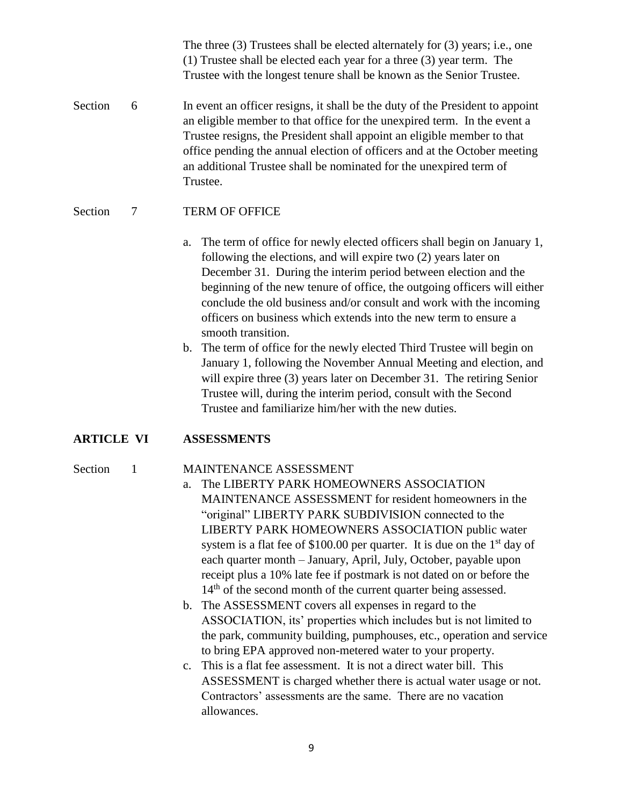The three (3) Trustees shall be elected alternately for (3) years; i.e., one (1) Trustee shall be elected each year for a three (3) year term. The Trustee with the longest tenure shall be known as the Senior Trustee.

Section 6 In event an officer resigns, it shall be the duty of the President to appoint an eligible member to that office for the unexpired term. In the event a Trustee resigns, the President shall appoint an eligible member to that office pending the annual election of officers and at the October meeting an additional Trustee shall be nominated for the unexpired term of Trustee.

#### Section 7 TERM OF OFFICE

- a. The term of office for newly elected officers shall begin on January 1, following the elections, and will expire two (2) years later on December 31. During the interim period between election and the beginning of the new tenure of office, the outgoing officers will either conclude the old business and/or consult and work with the incoming officers on business which extends into the new term to ensure a smooth transition.
- b. The term of office for the newly elected Third Trustee will begin on January 1, following the November Annual Meeting and election, and will expire three (3) years later on December 31. The retiring Senior Trustee will, during the interim period, consult with the Second Trustee and familiarize him/her with the new duties.

#### **ARTICLE VI ASSESSMENTS**

#### Section 1 MAINTENANCE ASSESSMENT

- a. The LIBERTY PARK HOMEOWNERS ASSOCIATION MAINTENANCE ASSESSMENT for resident homeowners in the "original" LIBERTY PARK SUBDIVISION connected to the LIBERTY PARK HOMEOWNERS ASSOCIATION public water system is a flat fee of  $$100.00$  per quarter. It is due on the 1<sup>st</sup> day of each quarter month – January, April, July, October, payable upon receipt plus a 10% late fee if postmark is not dated on or before the 14<sup>th</sup> of the second month of the current quarter being assessed.
- b. The ASSESSMENT covers all expenses in regard to the ASSOCIATION, its' properties which includes but is not limited to the park, community building, pumphouses, etc., operation and service to bring EPA approved non-metered water to your property.
- c. This is a flat fee assessment. It is not a direct water bill. This ASSESSMENT is charged whether there is actual water usage or not. Contractors' assessments are the same. There are no vacation allowances.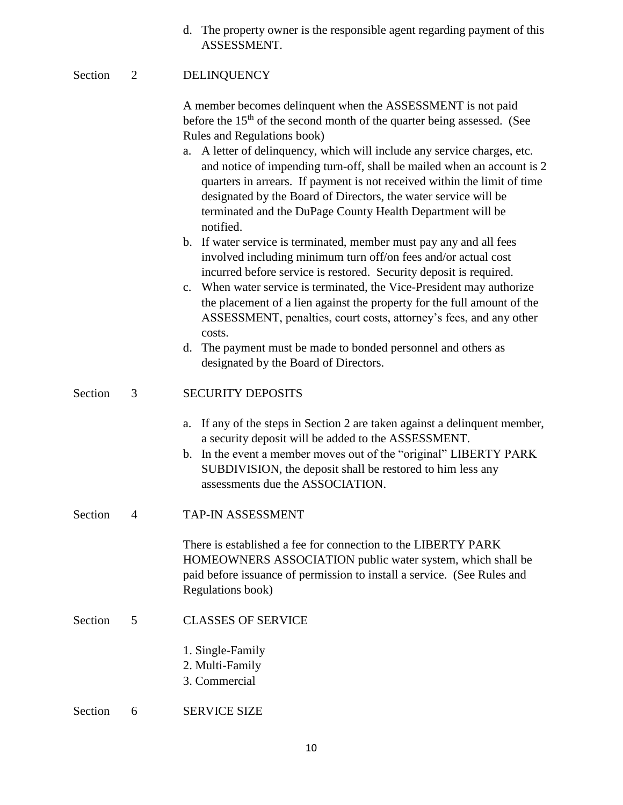d. The property owner is the responsible agent regarding payment of this ASSESSMENT.

### Section 2 DELINQUENCY

A member becomes delinquent when the ASSESSMENT is not paid before the  $15<sup>th</sup>$  of the second month of the quarter being assessed. (See Rules and Regulations book)

- a. A letter of delinquency, which will include any service charges, etc. and notice of impending turn-off, shall be mailed when an account is 2 quarters in arrears. If payment is not received within the limit of time designated by the Board of Directors, the water service will be terminated and the DuPage County Health Department will be notified.
- b. If water service is terminated, member must pay any and all fees involved including minimum turn off/on fees and/or actual cost incurred before service is restored. Security deposit is required.
- c. When water service is terminated, the Vice-President may authorize the placement of a lien against the property for the full amount of the ASSESSMENT, penalties, court costs, attorney's fees, and any other costs.
- d. The payment must be made to bonded personnel and others as designated by the Board of Directors.

#### Section 3 SECURITY DEPOSITS

- a. If any of the steps in Section 2 are taken against a delinquent member, a security deposit will be added to the ASSESSMENT.
- b. In the event a member moves out of the "original" LIBERTY PARK SUBDIVISION, the deposit shall be restored to him less any assessments due the ASSOCIATION.
- Section 4 TAP-IN ASSESSMENT

There is established a fee for connection to the LIBERTY PARK HOMEOWNERS ASSOCIATION public water system, which shall be paid before issuance of permission to install a service. (See Rules and Regulations book)

- Section 5 CLASSES OF SERVICE
	- 1. Single-Family
	- 2. Multi-Family
	- 3. Commercial
- Section 6 SERVICE SIZE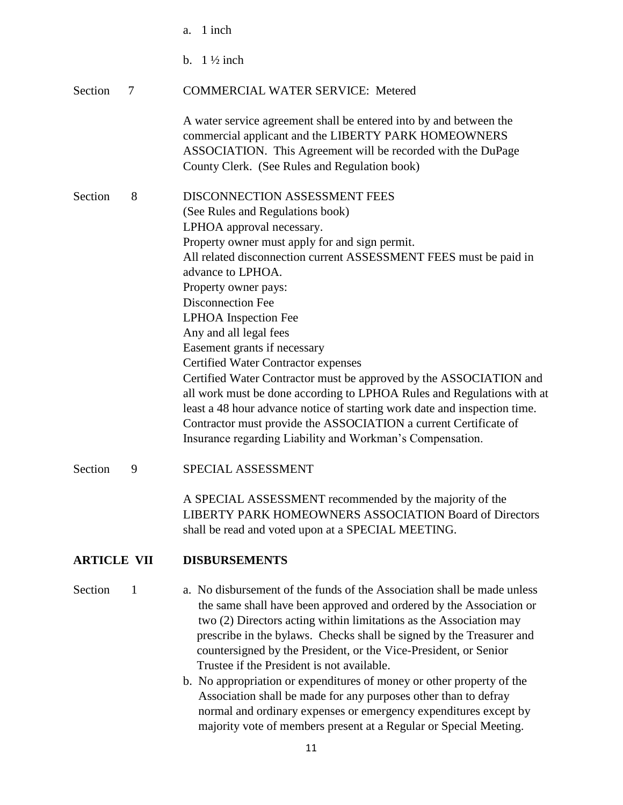|                    |   | 1 inch<br>a.                                                                                                                                                                                                                                                                                                                                                                                                                                                                                                                                                                                                                                                                                                                                                                          |
|--------------------|---|---------------------------------------------------------------------------------------------------------------------------------------------------------------------------------------------------------------------------------------------------------------------------------------------------------------------------------------------------------------------------------------------------------------------------------------------------------------------------------------------------------------------------------------------------------------------------------------------------------------------------------------------------------------------------------------------------------------------------------------------------------------------------------------|
|                    |   | $1\frac{1}{2}$ inch<br>$\mathbf{b}$ .                                                                                                                                                                                                                                                                                                                                                                                                                                                                                                                                                                                                                                                                                                                                                 |
| Section            | 7 | <b>COMMERCIAL WATER SERVICE: Metered</b>                                                                                                                                                                                                                                                                                                                                                                                                                                                                                                                                                                                                                                                                                                                                              |
|                    |   | A water service agreement shall be entered into by and between the<br>commercial applicant and the LIBERTY PARK HOMEOWNERS<br>ASSOCIATION. This Agreement will be recorded with the DuPage<br>County Clerk. (See Rules and Regulation book)                                                                                                                                                                                                                                                                                                                                                                                                                                                                                                                                           |
| Section            | 8 | DISCONNECTION ASSESSMENT FEES<br>(See Rules and Regulations book)<br>LPHOA approval necessary.<br>Property owner must apply for and sign permit.<br>All related disconnection current ASSESSMENT FEES must be paid in<br>advance to LPHOA.<br>Property owner pays:<br>Disconnection Fee<br>LPHOA Inspection Fee<br>Any and all legal fees<br>Easement grants if necessary<br><b>Certified Water Contractor expenses</b><br>Certified Water Contractor must be approved by the ASSOCIATION and<br>all work must be done according to LPHOA Rules and Regulations with at<br>least a 48 hour advance notice of starting work date and inspection time.<br>Contractor must provide the ASSOCIATION a current Certificate of<br>Insurance regarding Liability and Workman's Compensation. |
| Section            | 9 | SPECIAL ASSESSMENT                                                                                                                                                                                                                                                                                                                                                                                                                                                                                                                                                                                                                                                                                                                                                                    |
|                    |   | A SPECIAL ASSESSMENT recommended by the majority of the<br><b>LIBERTY PARK HOMEOWNERS ASSOCIATION Board of Directors</b><br>shall be read and voted upon at a SPECIAL MEETING.                                                                                                                                                                                                                                                                                                                                                                                                                                                                                                                                                                                                        |
| <b>ARTICLE VII</b> |   | <b>DISBURSEMENTS</b>                                                                                                                                                                                                                                                                                                                                                                                                                                                                                                                                                                                                                                                                                                                                                                  |
| Section            | 1 | a. No disbursement of the funds of the Association shall be made unless<br>the same shall have been approved and ordered by the Association or<br>two (2) Directors acting within limitations as the Association may<br>prescribe in the bylaws. Checks shall be signed by the Treasurer and<br>countersigned by the President, or the Vice-President, or Senior<br>Trustee if the President is not available.<br><b>b</b> No appropriation or expenditures of money or other property of the                                                                                                                                                                                                                                                                                         |

b. No appropriation or expenditures of money or other property of the Association shall be made for any purposes other than to defray normal and ordinary expenses or emergency expenditures except by majority vote of members present at a Regular or Special Meeting.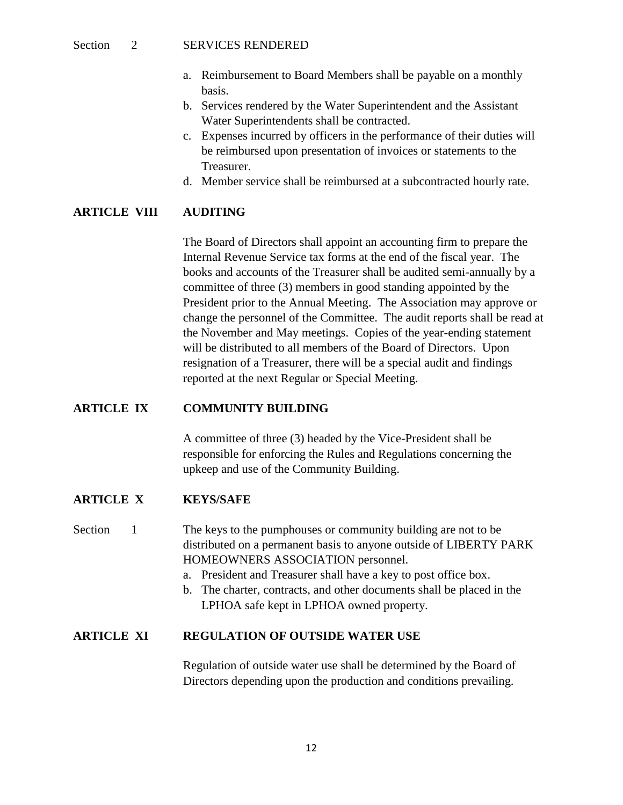#### Section 2 SERVICES RENDERED

- a. Reimbursement to Board Members shall be payable on a monthly basis.
- b. Services rendered by the Water Superintendent and the Assistant Water Superintendents shall be contracted.
- c. Expenses incurred by officers in the performance of their duties will be reimbursed upon presentation of invoices or statements to the Treasurer.
- d. Member service shall be reimbursed at a subcontracted hourly rate.

### **ARTICLE VIII AUDITING**

The Board of Directors shall appoint an accounting firm to prepare the Internal Revenue Service tax forms at the end of the fiscal year. The books and accounts of the Treasurer shall be audited semi-annually by a committee of three (3) members in good standing appointed by the President prior to the Annual Meeting. The Association may approve or change the personnel of the Committee. The audit reports shall be read at the November and May meetings. Copies of the year-ending statement will be distributed to all members of the Board of Directors. Upon resignation of a Treasurer, there will be a special audit and findings reported at the next Regular or Special Meeting.

#### **ARTICLE IX COMMUNITY BUILDING**

A committee of three (3) headed by the Vice-President shall be responsible for enforcing the Rules and Regulations concerning the upkeep and use of the Community Building.

#### **ARTICLE X KEYS/SAFE**

Section 1 The keys to the pumphouses or community building are not to be distributed on a permanent basis to anyone outside of LIBERTY PARK HOMEOWNERS ASSOCIATION personnel.

- a. President and Treasurer shall have a key to post office box.
- b. The charter, contracts, and other documents shall be placed in the LPHOA safe kept in LPHOA owned property.

#### **ARTICLE XI REGULATION OF OUTSIDE WATER USE**

Regulation of outside water use shall be determined by the Board of Directors depending upon the production and conditions prevailing.